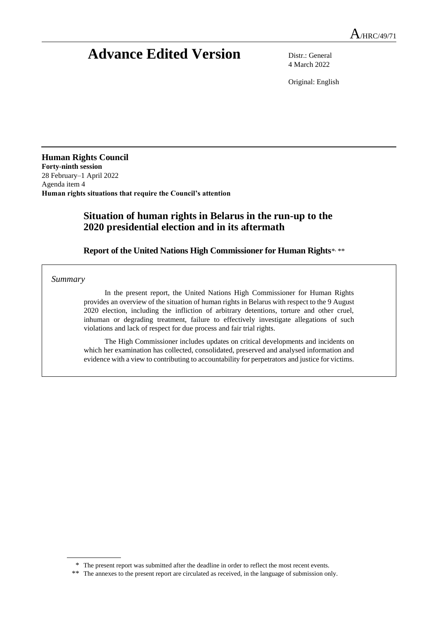# **Advance Edited Version** Distr.: General

4 March 2022

Original: English

**Human Rights Council Forty-ninth session** 28 February–1 April 2022 Agenda item 4 **Human rights situations that require the Council's attention**

# **Situation of human rights in Belarus in the run-up to the 2020 presidential election and in its aftermath**

Report of the United Nations High Commissioner for Human Rights\* \*\*

*Summary*

In the present report, the United Nations High Commissioner for Human Rights provides an overview of the situation of human rights in Belarus with respect to the 9 August 2020 election, including the infliction of arbitrary detentions, torture and other cruel, inhuman or degrading treatment, failure to effectively investigate allegations of such violations and lack of respect for due process and fair trial rights.

The High Commissioner includes updates on critical developments and incidents on which her examination has collected, consolidated, preserved and analysed information and evidence with a view to contributing to accountability for perpetrators and justice for victims.

<sup>\*</sup> The present report was submitted after the deadline in order to reflect the most recent events.

<sup>\*\*</sup> The annexes to the present report are circulated as received, in the language of submission only.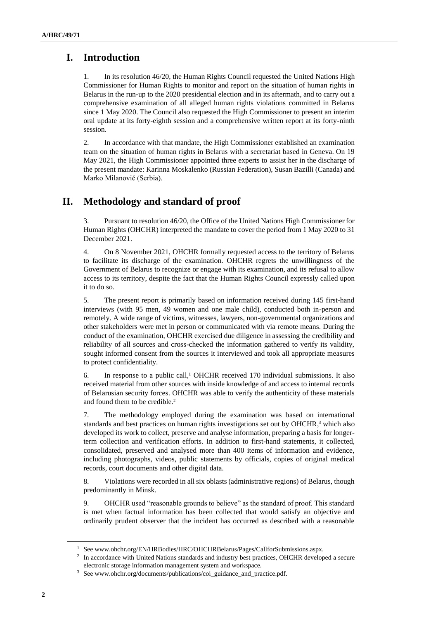# **I. Introduction**

1. In its resolution 46/20, the Human Rights Council requested the United Nations High Commissioner for Human Rights to monitor and report on the situation of human rights in Belarus in the run-up to the 2020 presidential election and in its aftermath, and to carry out a comprehensive examination of all alleged human rights violations committed in Belarus since 1 May 2020. The Council also requested the High Commissioner to present an interim oral update at its forty-eighth session and a comprehensive written report at its forty-ninth session.

2. In accordance with that mandate, the High Commissioner established an examination team on the situation of human rights in Belarus with a secretariat based in Geneva. On 19 May 2021, the High Commissioner appointed three experts to assist her in the discharge of the present mandate: Karinna Moskalenko (Russian Federation), Susan Bazilli (Canada) and Marko Milanović (Serbia).

# **II. Methodology and standard of proof**

3. Pursuant to resolution 46/20, the Office of the United Nations High Commissioner for Human Rights (OHCHR) interpreted the mandate to cover the period from 1 May 2020 to 31 December 2021.

4. On 8 November 2021, OHCHR formally requested access to the territory of Belarus to facilitate its discharge of the examination. OHCHR regrets the unwillingness of the Government of Belarus to recognize or engage with its examination, and its refusal to allow access to its territory, despite the fact that the Human Rights Council expressly called upon it to do so.

5. The present report is primarily based on information received during 145 first-hand interviews (with 95 men, 49 women and one male child), conducted both in-person and remotely. A wide range of victims, witnesses, lawyers, non-governmental organizations and other stakeholders were met in person or communicated with via remote means. During the conduct of the examination, OHCHR exercised due diligence in assessing the credibility and reliability of all sources and cross-checked the information gathered to verify its validity, sought informed consent from the sources it interviewed and took all appropriate measures to protect confidentiality.

6. In response to a public call.<sup>1</sup> OHCHR received 170 individual submissions. It also received material from other sources with inside knowledge of and access to internal records of Belarusian security forces. OHCHR was able to verify the authenticity of these materials and found them to be credible.<sup>2</sup>

7. The methodology employed during the examination was based on international standards and best practices on human rights investigations set out by OHCHR,<sup>3</sup> which also developed its work to collect, preserve and analyse information, preparing a basis for longerterm collection and verification efforts. In addition to first-hand statements, it collected, consolidated, preserved and analysed more than 400 items of information and evidence, including photographs, videos, public statements by officials, copies of original medical records, court documents and other digital data.

8. Violations were recorded in all six oblasts (administrative regions) of Belarus, though predominantly in Minsk.

9. OHCHR used "reasonable grounds to believe" as the standard of proof. This standard is met when factual information has been collected that would satisfy an objective and ordinarily prudent observer that the incident has occurred as described with a reasonable

<sup>&</sup>lt;sup>1</sup> See www.ohchr.org/EN/HRBodies/HRC/OHCHRBelarus/Pages/CallforSubmissions.aspx.

<sup>&</sup>lt;sup>2</sup> In accordance with United Nations standards and industry best practices, OHCHR developed a secure electronic storage information management system and workspace.

<sup>3</sup> See www.ohchr.org/documents/publications/coi\_guidance\_and\_practice.pdf.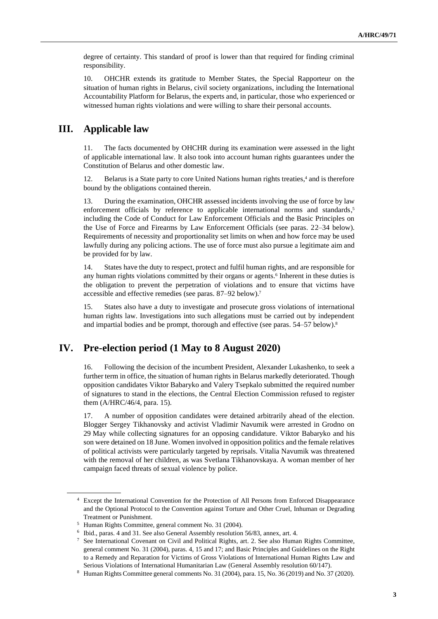degree of certainty. This standard of proof is lower than that required for finding criminal responsibility.

10. OHCHR extends its gratitude to Member States, the Special Rapporteur on the situation of human rights in Belarus, civil society organizations, including the International Accountability Platform for Belarus, the experts and, in particular, those who experienced or witnessed human rights violations and were willing to share their personal accounts.

### **III. Applicable law**

11. The facts documented by OHCHR during its examination were assessed in the light of applicable international law. It also took into account human rights guarantees under the Constitution of Belarus and other domestic law.

12. Belarus is a State party to core United Nations human rights treaties, <sup>4</sup> and is therefore bound by the obligations contained therein.

13. During the examination, OHCHR assessed incidents involving the use of force by law enforcement officials by reference to applicable international norms and standards, 5 including the Code of Conduct for Law Enforcement Officials and the Basic Principles on the Use of Force and Firearms by Law Enforcement Officials (see paras. 22–34 below). Requirements of necessity and proportionality set limits on when and how force may be used lawfully during any policing actions. The use of force must also pursue a legitimate aim and be provided for by law.

14. States have the duty to respect, protect and fulfil human rights, and are responsible for any human rights violations committed by their organs or agents.<sup>6</sup> Inherent in these duties is the obligation to prevent the perpetration of violations and to ensure that victims have accessible and effective remedies (see paras. 87–92 below).<sup>7</sup>

15. States also have a duty to investigate and prosecute gross violations of international human rights law. Investigations into such allegations must be carried out by independent and impartial bodies and be prompt, thorough and effective (see paras. 54–57 below).<sup>8</sup>

### **IV. Pre-election period (1 May to 8 August 2020)**

16. Following the decision of the incumbent President, Alexander Lukashenko, to seek a further term in office, the situation of human rights in Belarus markedly deteriorated. Though opposition candidates Viktor Babaryko and Valery Tsepkalo submitted the required number of signatures to stand in the elections, the Central Election Commission refused to register them (A/HRC/46/4, para. 15).

17. A number of opposition candidates were detained arbitrarily ahead of the election. Blogger Sergey Tikhanovsky and activist Vladimir Navumik were arrested in Grodno on 29 May while collecting signatures for an opposing candidature. Viktor Babaryko and his son were detained on 18 June. Women involved in opposition politics and the female relatives of political activists were particularly targeted by reprisals. Vitalia Navumik was threatened with the removal of her children, as was Svetlana Tikhanovskaya. A woman member of her campaign faced threats of sexual violence by police.

<sup>4</sup> Except the International Convention for the Protection of All Persons from Enforced Disappearance and the Optional Protocol to the Convention against Torture and Other Cruel, Inhuman or Degrading Treatment or Punishment.

<sup>5</sup> Human Rights Committee, general comment No. 31 (2004).

<sup>6</sup> Ibid., paras. 4 and 31. See also General Assembly resolution 56/83, annex, art. 4.

<sup>7</sup> See International Covenant on Civil and Political Rights, art. 2. See also Human Rights Committee, general comment No. 31 (2004), paras. 4, 15 and 17; and Basic Principles and Guidelines on the Right to a Remedy and Reparation for Victims of Gross Violations of International Human Rights Law and Serious Violations of International Humanitarian Law (General Assembly resolution 60/147).

<sup>8</sup> Human Rights Committee general comments No. 31 (2004), para. 15, No. 36 (2019) and No. 37 (2020).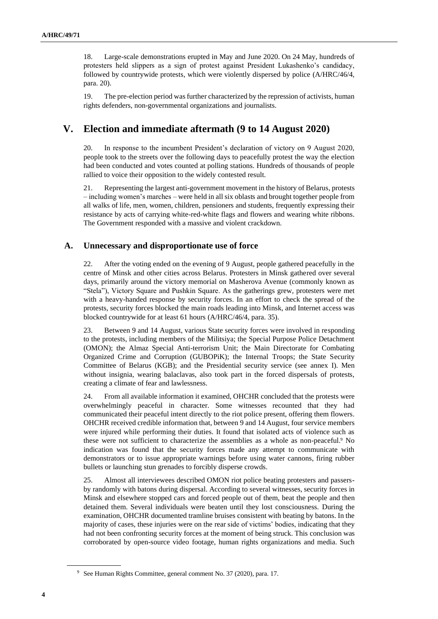18. Large-scale demonstrations erupted in May and June 2020. On 24 May, hundreds of protesters held slippers as a sign of protest against President Lukashenko's candidacy, followed by countrywide protests, which were violently dispersed by police (A/HRC/46/4, para. 20).

19. The pre-election period was further characterized by the repression of activists, human rights defenders, non-governmental organizations and journalists.

# **V. Election and immediate aftermath (9 to 14 August 2020)**

20. In response to the incumbent President's declaration of victory on 9 August 2020, people took to the streets over the following days to peacefully protest the way the election had been conducted and votes counted at polling stations. Hundreds of thousands of people rallied to voice their opposition to the widely contested result.

21. Representing the largest anti-government movement in the history of Belarus, protests – including women's marches – were held in all six oblasts and brought together people from all walks of life, men, women, children, pensioners and students, frequently expressing their resistance by acts of carrying white-red-white flags and flowers and wearing white ribbons. The Government responded with a massive and violent crackdown.

#### **A. Unnecessary and disproportionate use of force**

22. After the voting ended on the evening of 9 August, people gathered peacefully in the centre of Minsk and other cities across Belarus. Protesters in Minsk gathered over several days, primarily around the victory memorial on Masherova Avenue (commonly known as "Stela"), Victory Square and Pushkin Square. As the gatherings grew, protesters were met with a heavy-handed response by security forces. In an effort to check the spread of the protests, security forces blocked the main roads leading into Minsk, and Internet access was blocked countrywide for at least 61 hours (A/HRC/46/4, para. 35).

23. Between 9 and 14 August, various State security forces were involved in responding to the protests, including members of the Militsiya; the Special Purpose Police Detachment (OMON); the Almaz Special Anti-terrorism Unit; the Main Directorate for Combating Organized Crime and Corruption (GUBOPiK); the Internal Troops; the State Security Committee of Belarus (KGB); and the Presidential security service (see annex I). Men without insignia, wearing balaclavas, also took part in the forced dispersals of protests, creating a climate of fear and lawlessness.

24. From all available information it examined, OHCHR concluded that the protests were overwhelmingly peaceful in character. Some witnesses recounted that they had communicated their peaceful intent directly to the riot police present, offering them flowers. OHCHR received credible information that, between 9 and 14 August, four service members were injured while performing their duties. It found that isolated acts of violence such as these were not sufficient to characterize the assemblies as a whole as non-peaceful.<sup>9</sup> No indication was found that the security forces made any attempt to communicate with demonstrators or to issue appropriate warnings before using water cannons, firing rubber bullets or launching stun grenades to forcibly disperse crowds.

25. Almost all interviewees described OMON riot police beating protesters and passersby randomly with batons during dispersal. According to several witnesses, security forces in Minsk and elsewhere stopped cars and forced people out of them, beat the people and then detained them. Several individuals were beaten until they lost consciousness. During the examination, OHCHR documented tramline bruises consistent with beating by batons. In the majority of cases, these injuries were on the rear side of victims' bodies, indicating that they had not been confronting security forces at the moment of being struck. This conclusion was corroborated by open-source video footage, human rights organizations and media. Such

<sup>9</sup> See Human Rights Committee, general comment No. 37 (2020), para. 17.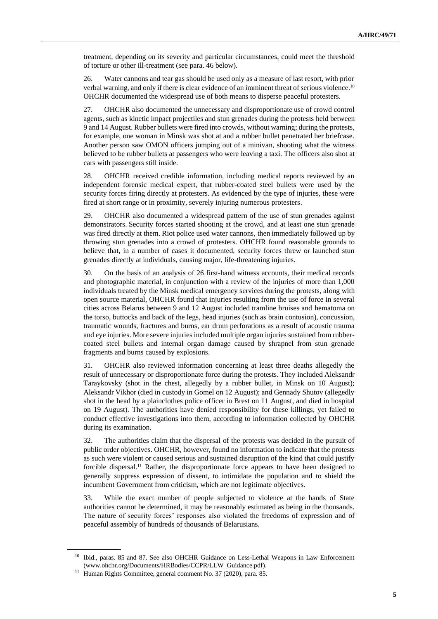treatment, depending on its severity and particular circumstances, could meet the threshold of torture or other ill-treatment (see para. 46 below).

26. Water cannons and tear gas should be used only as a measure of last resort, with prior verbal warning, and only if there is clear evidence of an imminent threat of serious violence.<sup>10</sup> OHCHR documented the widespread use of both means to disperse peaceful protesters.

27. OHCHR also documented the unnecessary and disproportionate use of crowd control agents, such as kinetic impact projectiles and stun grenades during the protests held between 9 and 14 August. Rubber bullets were fired into crowds, without warning; during the protests, for example, one woman in Minsk was shot at and a rubber bullet penetrated her briefcase. Another person saw OMON officers jumping out of a minivan, shooting what the witness believed to be rubber bullets at passengers who were leaving a taxi. The officers also shot at cars with passengers still inside.

28. OHCHR received credible information, including medical reports reviewed by an independent forensic medical expert, that rubber-coated steel bullets were used by the security forces firing directly at protesters. As evidenced by the type of injuries, these were fired at short range or in proximity, severely injuring numerous protesters.

29. OHCHR also documented a widespread pattern of the use of stun grenades against demonstrators. Security forces started shooting at the crowd, and at least one stun grenade was fired directly at them. Riot police used water cannons, then immediately followed up by throwing stun grenades into a crowd of protesters. OHCHR found reasonable grounds to believe that, in a number of cases it documented, security forces threw or launched stun grenades directly at individuals, causing major, life-threatening injuries.

30. On the basis of an analysis of 26 first-hand witness accounts, their medical records and photographic material, in conjunction with a review of the injuries of more than 1,000 individuals treated by the Minsk medical emergency services during the protests, along with open source material, OHCHR found that injuries resulting from the use of force in several cities across Belarus between 9 and 12 August included tramline bruises and hematoma on the torso, buttocks and back of the legs, head injuries (such as brain contusion), concussion, traumatic wounds, fractures and burns, ear drum perforations as a result of acoustic trauma and eye injuries. More severe injuries included multiple organ injuries sustained from rubbercoated steel bullets and internal organ damage caused by shrapnel from stun grenade fragments and burns caused by explosions.

31. OHCHR also reviewed information concerning at least three deaths allegedly the result of unnecessary or disproportionate force during the protests. They included Aleksandr Taraykovsky (shot in the chest, allegedly by a rubber bullet, in Minsk on 10 August); Aleksandr Vikhor (died in custody in Gomel on 12 August); and Gennady Shutov (allegedly shot in the head by a plainclothes police officer in Brest on 11 August, and died in hospital on 19 August). The authorities have denied responsibility for these killings, yet failed to conduct effective investigations into them, according to information collected by OHCHR during its examination.

32. The authorities claim that the dispersal of the protests was decided in the pursuit of public order objectives. OHCHR, however, found no information to indicate that the protests as such were violent or caused serious and sustained disruption of the kind that could justify forcible dispersal.<sup>11</sup> Rather, the disproportionate force appears to have been designed to generally suppress expression of dissent, to intimidate the population and to shield the incumbent Government from criticism, which are not legitimate objectives.

33. While the exact number of people subjected to violence at the hands of State authorities cannot be determined, it may be reasonably estimated as being in the thousands. The nature of security forces' responses also violated the freedoms of expression and of peaceful assembly of hundreds of thousands of Belarusians.

<sup>&</sup>lt;sup>10</sup> Ibid., paras. 85 and 87. See also OHCHR Guidance on Less-Lethal Weapons in Law Enforcement (www.ohchr.org/Documents/HRBodies/CCPR/LLW\_Guidance.pdf).

<sup>&</sup>lt;sup>11</sup> Human Rights Committee, general comment No. 37 (2020), para. 85.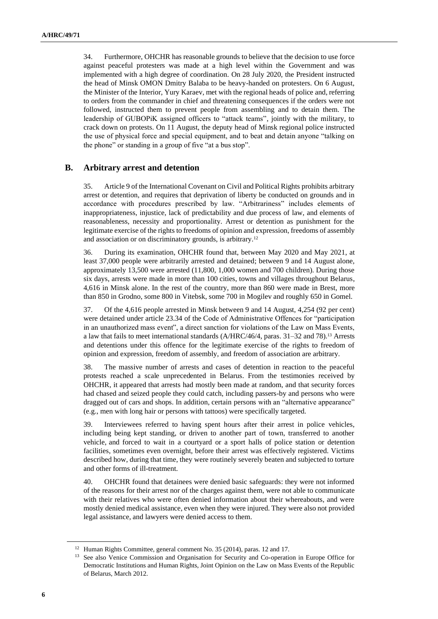34. Furthermore, OHCHR has reasonable grounds to believe that the decision to use force against peaceful protesters was made at a high level within the Government and was implemented with a high degree of coordination. On 28 July 2020, the President instructed the head of Minsk OMON Dmitry Balaba to be heavy-handed on protesters. On 6 August, the Minister of the Interior, Yury Karaev, met with the regional heads of police and, referring to orders from the commander in chief and threatening consequences if the orders were not followed, instructed them to prevent people from assembling and to detain them. The leadership of GUBOPiK assigned officers to "attack teams", jointly with the military, to crack down on protests. On 11 August, the deputy head of Minsk regional police instructed the use of physical force and special equipment, and to beat and detain anyone "talking on the phone" or standing in a group of five "at a bus stop".

#### **B. Arbitrary arrest and detention**

35. Article 9 of the International Covenant on Civil and Political Rights prohibits arbitrary arrest or detention, and requires that deprivation of liberty be conducted on grounds and in accordance with procedures prescribed by law. "Arbitrariness" includes elements of inappropriateness, injustice, lack of predictability and due process of law, and elements of reasonableness, necessity and proportionality. Arrest or detention as punishment for the legitimate exercise of the rights to freedoms of opinion and expression, freedoms of assembly and association or on discriminatory grounds, is arbitrary.<sup>12</sup>

36. During its examination, OHCHR found that, between May 2020 and May 2021, at least 37,000 people were arbitrarily arrested and detained; between 9 and 14 August alone, approximately 13,500 were arrested (11,800, 1,000 women and 700 children). During those six days, arrests were made in more than 100 cities, towns and villages throughout Belarus, 4,616 in Minsk alone. In the rest of the country, more than 860 were made in Brest, more than 850 in Grodno, some 800 in Vitebsk, some 700 in Mogilev and roughly 650 in Gomel.

37. Of the 4,616 people arrested in Minsk between 9 and 14 August, 4,254 (92 per cent) were detained under article 23.34 of the Code of Administrative Offences for "participation in an unauthorized mass event", a direct sanction for violations of the Law on Mass Events, a law that fails to meet international standards (A/HRC/46/4, paras. 31–32 and 78). <sup>13</sup> Arrests and detentions under this offence for the legitimate exercise of the rights to freedom of opinion and expression, freedom of assembly, and freedom of association are arbitrary.

38. The massive number of arrests and cases of detention in reaction to the peaceful protests reached a scale unprecedented in Belarus. From the testimonies received by OHCHR, it appeared that arrests had mostly been made at random, and that security forces had chased and seized people they could catch, including passers-by and persons who were dragged out of cars and shops. In addition, certain persons with an "alternative appearance" (e.g., men with long hair or persons with tattoos) were specifically targeted.

39. Interviewees referred to having spent hours after their arrest in police vehicles, including being kept standing, or driven to another part of town, transferred to another vehicle, and forced to wait in a courtyard or a sport halls of police station or detention facilities, sometimes even overnight, before their arrest was effectively registered. Victims described how, during that time, they were routinely severely beaten and subjected to torture and other forms of ill-treatment.

40. OHCHR found that detainees were denied basic safeguards: they were not informed of the reasons for their arrest nor of the charges against them, were not able to communicate with their relatives who were often denied information about their whereabouts, and were mostly denied medical assistance, even when they were injured. They were also not provided legal assistance, and lawyers were denied access to them.

<sup>&</sup>lt;sup>12</sup> Human Rights Committee, general comment No. 35 (2014), paras. 12 and 17.

<sup>&</sup>lt;sup>13</sup> See also Venice Commission and Organisation for Security and Co-operation in Europe Office for Democratic Institutions and Human Rights, Joint Opinion on the Law on Mass Events of the Republic of Belarus, March 2012.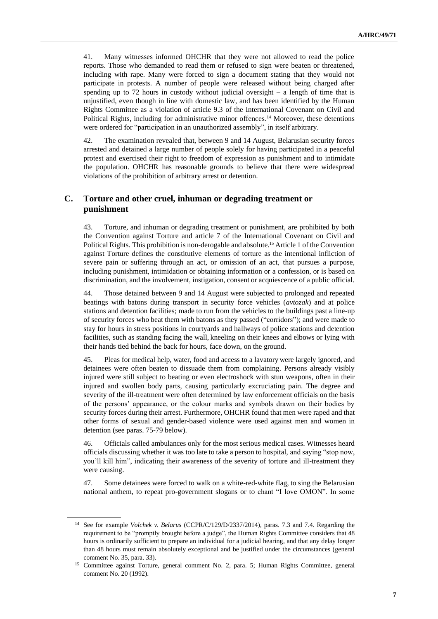41. Many witnesses informed OHCHR that they were not allowed to read the police reports. Those who demanded to read them or refused to sign were beaten or threatened, including with rape. Many were forced to sign a document stating that they would not participate in protests. A number of people were released without being charged after spending up to 72 hours in custody without judicial oversight  $-$  a length of time that is unjustified, even though in line with domestic law, and has been identified by the Human Rights Committee as a violation of article 9.3 of the International Covenant on Civil and Political Rights, including for administrative minor offences.<sup>14</sup> Moreover, these detentions were ordered for "participation in an unauthorized assembly", in itself arbitrary.

42. The examination revealed that, between 9 and 14 August, Belarusian security forces arrested and detained a large number of people solely for having participated in a peaceful protest and exercised their right to freedom of expression as punishment and to intimidate the population. OHCHR has reasonable grounds to believe that there were widespread violations of the prohibition of arbitrary arrest or detention.

#### **C. Torture and other cruel, inhuman or degrading treatment or punishment**

43. Torture, and inhuman or degrading treatment or punishment, are prohibited by both the Convention against Torture and article 7 of the International Covenant on Civil and Political Rights. This prohibition is non-derogable and absolute.<sup>15</sup> Article 1 of the Convention against Torture defines the constitutive elements of torture as the intentional infliction of severe pain or suffering through an act, or omission of an act, that pursues a purpose, including punishment, intimidation or obtaining information or a confession, or is based on discrimination, and the involvement, instigation, consent or acquiescence of a public official.

44. Those detained between 9 and 14 August were subjected to prolonged and repeated beatings with batons during transport in security force vehicles (*avtozak*) and at police stations and detention facilities; made to run from the vehicles to the buildings past a line-up of security forces who beat them with batons as they passed ("corridors"); and were made to stay for hours in stress positions in courtyards and hallways of police stations and detention facilities, such as standing facing the wall, kneeling on their knees and elbows or lying with their hands tied behind the back for hours, face down, on the ground.

45. Pleas for medical help, water, food and access to a lavatory were largely ignored, and detainees were often beaten to dissuade them from complaining. Persons already visibly injured were still subject to beating or even electroshock with stun weapons, often in their injured and swollen body parts, causing particularly excruciating pain. The degree and severity of the ill-treatment were often determined by law enforcement officials on the basis of the persons' appearance, or the colour marks and symbols drawn on their bodies by security forces during their arrest. Furthermore, OHCHR found that men were raped and that other forms of sexual and gender-based violence were used against men and women in detention (see paras. 75-79 below).

46. Officials called ambulances only for the most serious medical cases. Witnesses heard officials discussing whether it was too late to take a person to hospital, and saying "stop now, you'll kill him", indicating their awareness of the severity of torture and ill-treatment they were causing.

47. Some detainees were forced to walk on a white-red-white flag, to sing the Belarusian national anthem, to repeat pro-government slogans or to chant "I love OMON". In some

<sup>14</sup> See for example *Volchek v. Belarus* (CCPR/C/129/D/2337/2014), paras. 7.3 and 7.4. Regarding the requirement to be "promptly brought before a judge", the Human Rights Committee considers that 48 hours is ordinarily sufficient to prepare an individual for a judicial hearing, and that any delay longer than 48 hours must remain absolutely exceptional and be justified under the circumstances (general comment No. 35, para. 33).

<sup>15</sup> Committee against Torture, general comment No. 2, para. 5; Human Rights Committee, general comment No. 20 (1992).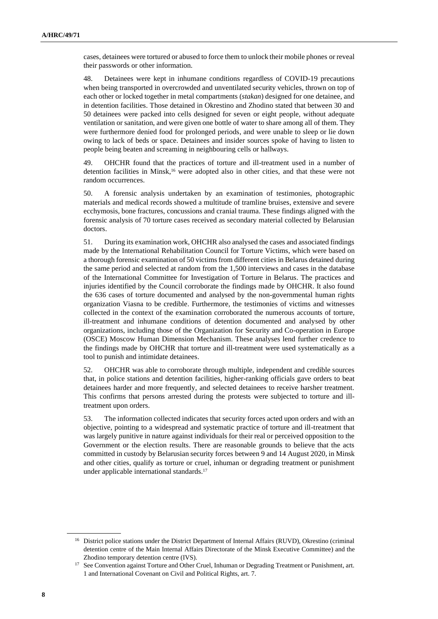cases, detainees were tortured or abused to force them to unlock their mobile phones or reveal their passwords or other information.

48. Detainees were kept in inhumane conditions regardless of COVID-19 precautions when being transported in overcrowded and unventilated security vehicles, thrown on top of each other or locked together in metal compartments (*stakan*) designed for one detainee, and in detention facilities. Those detained in Okrestino and Zhodino stated that between 30 and 50 detainees were packed into cells designed for seven or eight people, without adequate ventilation or sanitation, and were given one bottle of water to share among all of them. They were furthermore denied food for prolonged periods, and were unable to sleep or lie down owing to lack of beds or space. Detainees and insider sources spoke of having to listen to people being beaten and screaming in neighbouring cells or hallways.

49. OHCHR found that the practices of torture and ill-treatment used in a number of detention facilities in Minsk, <sup>16</sup> were adopted also in other cities, and that these were not random occurrences.

50. A forensic analysis undertaken by an examination of testimonies, photographic materials and medical records showed a multitude of tramline bruises, extensive and severe ecchymosis, bone fractures, concussions and cranial trauma. These findings aligned with the forensic analysis of 70 torture cases received as secondary material collected by Belarusian doctors.

51. During its examination work, OHCHR also analysed the cases and associated findings made by the International Rehabilitation Council for Torture Victims, which were based on a thorough forensic examination of 50 victims from different cities in Belarus detained during the same period and selected at random from the 1,500 interviews and cases in the database of the International Committee for Investigation of Torture in Belarus. The practices and injuries identified by the Council corroborate the findings made by OHCHR. It also found the 636 cases of torture documented and analysed by the non-governmental human rights organization Viasna to be credible. Furthermore, the testimonies of victims and witnesses collected in the context of the examination corroborated the numerous accounts of torture, ill-treatment and inhumane conditions of detention documented and analysed by other organizations, including those of the Organization for Security and Co-operation in Europe (OSCE) Moscow Human Dimension Mechanism. These analyses lend further credence to the findings made by OHCHR that torture and ill-treatment were used systematically as a tool to punish and intimidate detainees.

52. OHCHR was able to corroborate through multiple, independent and credible sources that, in police stations and detention facilities, higher-ranking officials gave orders to beat detainees harder and more frequently, and selected detainees to receive harsher treatment. This confirms that persons arrested during the protests were subjected to torture and illtreatment upon orders.

53. The information collected indicates that security forces acted upon orders and with an objective, pointing to a widespread and systematic practice of torture and ill-treatment that was largely punitive in nature against individuals for their real or perceived opposition to the Government or the election results. There are reasonable grounds to believe that the acts committed in custody by Belarusian security forces between 9 and 14 August 2020, in Minsk and other cities, qualify as torture or cruel, inhuman or degrading treatment or punishment under applicable international standards.<sup>17</sup>

<sup>&</sup>lt;sup>16</sup> District police stations under the District Department of Internal Affairs (RUVD), Okrestino (criminal detention centre of the Main Internal Affairs Directorate of the Minsk Executive Committee) and the Zhodino temporary detention centre (IVS).

<sup>&</sup>lt;sup>17</sup> See Convention against Torture and Other Cruel, Inhuman or Degrading Treatment or Punishment, art. 1 and International Covenant on Civil and Political Rights, art. 7.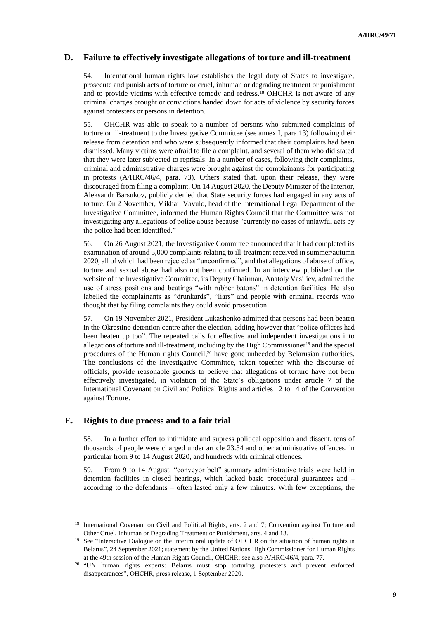#### **D. Failure to effectively investigate allegations of torture and ill-treatment**

54. International human rights law establishes the legal duty of States to investigate, prosecute and punish acts of torture or cruel, inhuman or degrading treatment or punishment and to provide victims with effective remedy and redress.<sup>18</sup> OHCHR is not aware of any criminal charges brought or convictions handed down for acts of violence by security forces against protesters or persons in detention.

55. OHCHR was able to speak to a number of persons who submitted complaints of torture or ill-treatment to the Investigative Committee (see annex I, para.13) following their release from detention and who were subsequently informed that their complaints had been dismissed. Many victims were afraid to file a complaint, and several of them who did stated that they were later subjected to reprisals. In a number of cases, following their complaints, criminal and administrative charges were brought against the complainants for participating in protests (A/HRC/46/4, para. 73). Others stated that, upon their release, they were discouraged from filing a complaint. On 14 August 2020, the Deputy Minister of the Interior, Aleksandr Barsukov, publicly denied that State security forces had engaged in any acts of torture. On 2 November, Mikhail Vavulo, head of the International Legal Department of the Investigative Committee, informed the Human Rights Council that the Committee was not investigating any allegations of police abuse because "currently no cases of unlawful acts by the police had been identified."

56. On 26 August 2021, the Investigative Committee announced that it had completed its examination of around 5,000 complaints relating to ill-treatment received in summer/autumn 2020, all of which had been rejected as "unconfirmed", and that allegations of abuse of office, torture and sexual abuse had also not been confirmed. In an interview published on the website of the Investigative Committee, its Deputy Chairman, Anatoly Vasiliev, admitted the use of stress positions and beatings "with rubber batons" in detention facilities. He also labelled the complainants as "drunkards", "liars" and people with criminal records who thought that by filing complaints they could avoid prosecution.

57. On 19 November 2021, President Lukashenko admitted that persons had been beaten in the Okrestino detention centre after the election, adding however that "police officers had been beaten up too". The repeated calls for effective and independent investigations into allegations of torture and ill-treatment, including by the High Commissioner<sup>19</sup> and the special procedures of the Human rights Council, <sup>20</sup> have gone unheeded by Belarusian authorities. The conclusions of the Investigative Committee, taken together with the discourse of officials, provide reasonable grounds to believe that allegations of torture have not been effectively investigated, in violation of the State's obligations under article 7 of the International Covenant on Civil and Political Rights and articles 12 to 14 of the Convention against Torture.

#### **E. Rights to due process and to a fair trial**

58. In a further effort to intimidate and supress political opposition and dissent, tens of thousands of people were charged under article 23.34 and other administrative offences, in particular from 9 to 14 August 2020, and hundreds with criminal offences.

59. From 9 to 14 August, "conveyor belt" summary administrative trials were held in detention facilities in closed hearings, which lacked basic procedural guarantees and – according to the defendants – often lasted only a few minutes. With few exceptions, the

<sup>&</sup>lt;sup>18</sup> International Covenant on Civil and Political Rights, arts. 2 and 7; Convention against Torture and Other Cruel, Inhuman or Degrading Treatment or Punishment, arts. 4 and 13.

<sup>&</sup>lt;sup>19</sup> See "Interactive Dialogue on the interim oral update of OHCHR on the situation of human rights in Belarus", 24 September 2021; statement by the United Nations High Commissioner for Human Rights at the 49th session of the Human Rights Council, OHCHR; see also A/HRC/46/4, para. 77.

<sup>&</sup>lt;sup>20</sup> "UN human rights experts: Belarus must stop torturing protesters and prevent enforced disappearances", OHCHR, press release, 1 September 2020.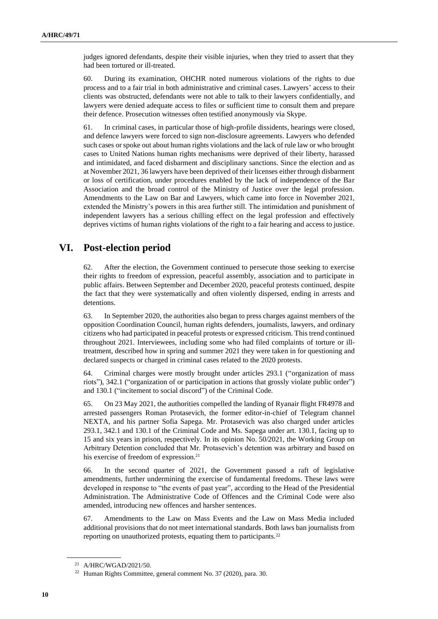judges ignored defendants, despite their visible injuries, when they tried to assert that they had been tortured or ill-treated.

60. During its examination, OHCHR noted numerous violations of the rights to due process and to a fair trial in both administrative and criminal cases. Lawyers' access to their clients was obstructed, defendants were not able to talk to their lawyers confidentially, and lawyers were denied adequate access to files or sufficient time to consult them and prepare their defence. Prosecution witnesses often testified anonymously via Skype.

61. In criminal cases, in particular those of high-profile dissidents, hearings were closed, and defence lawyers were forced to sign non-disclosure agreements. Lawyers who defended such cases or spoke out about human rights violations and the lack of rule law or who brought cases to United Nations human rights mechanisms were deprived of their liberty, harassed and intimidated, and faced disbarment and disciplinary sanctions. Since the election and as at November 2021, 36 lawyers have been deprived of their licenses either through disbarment or loss of certification, under procedures enabled by the lack of independence of the Bar Association and the broad control of the Ministry of Justice over the legal profession. Amendments to the Law on Bar and Lawyers, which came into force in November 2021, extended the Ministry's powers in this area further still. The intimidation and punishment of independent lawyers has a serious chilling effect on the legal profession and effectively deprives victims of human rights violations of the right to a fair hearing and access to justice.

### **VI. Post-election period**

62. After the election, the Government continued to persecute those seeking to exercise their rights to freedom of expression, peaceful assembly, association and to participate in public affairs. Between September and December 2020, peaceful protests continued, despite the fact that they were systematically and often violently dispersed, ending in arrests and detentions.

63. In September 2020, the authorities also began to press charges against members of the opposition Coordination Council, human rights defenders, journalists, lawyers, and ordinary citizens who had participated in peaceful protests or expressed criticism. This trend continued throughout 2021. Interviewees, including some who had filed complaints of torture or illtreatment, described how in spring and summer 2021 they were taken in for questioning and declared suspects or charged in criminal cases related to the 2020 protests.

64. Criminal charges were mostly brought under articles 293.1 ("organization of mass riots"), 342.1 ("organization of or participation in actions that grossly violate public order") and 130.1 ("incitement to social discord") of the Criminal Code.

65. On 23 May 2021, the authorities compelled the landing of Ryanair flight FR4978 and arrested passengers Roman Protasevich, the former editor-in-chief of Telegram channel NEXTA, and his partner Sofia Sapega. Mr. Protasevich was also charged under articles 293.1, 342.1 and 130.1 of the Criminal Code and Ms. Sapega under art. 130.1, facing up to 15 and six years in prison, respectively. In its opinion No. 50/2021, the Working Group on Arbitrary Detention concluded that Mr. Protasevich's detention was arbitrary and based on his exercise of freedom of expression.<sup>21</sup>

66. In the second quarter of 2021, the Government passed a raft of legislative amendments, further undermining the exercise of fundamental freedoms. These laws were developed in response to "the events of past year", according to the Head of the Presidential Administration. The Administrative Code of Offences and the Criminal Code were also amended, introducing new offences and harsher sentences.

67. Amendments to the Law on Mass Events and the Law on Mass Media included additional provisions that do not meet international standards. Both laws ban journalists from reporting on unauthorized protests, equating them to participants.<sup>22</sup>

<sup>21</sup> A/HRC/WGAD/2021/50.

<sup>22</sup> Human Rights Committee, general comment No. 37 (2020), para. 30.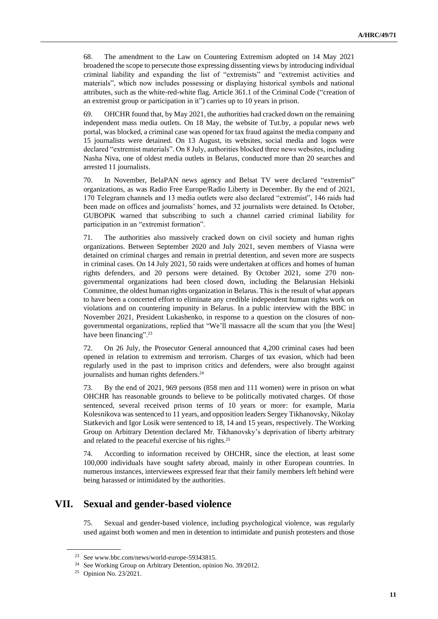68. The amendment to the Law on Countering Extremism adopted on 14 May 2021 broadened the scope to persecute those expressing dissenting views by introducing individual criminal liability and expanding the list of "extremists" and "extremist activities and materials", which now includes possessing or displaying historical symbols and national attributes, such as the white-red-white flag. Article 361.1 of the Criminal Code ("creation of an extremist group or participation in it") carries up to 10 years in prison.

69. OHCHR found that, by May 2021, the authorities had cracked down on the remaining independent mass media outlets. On 18 May, the website of Tut.by, a popular news web portal, was blocked, a criminal case was opened for tax fraud against the media company and 15 journalists were detained. On 13 August, its websites, social media and logos were declared "extremist materials". On 8 July, authorities blocked three news websites, including Nasha Niva, one of oldest media outlets in Belarus, conducted more than 20 searches and arrested 11 journalists.

70. In November, BelaPAN news agency and Belsat TV were declared "extremist" organizations, as was Radio Free Europe/Radio Liberty in December. By the end of 2021, 170 Telegram channels and 13 media outlets were also declared "extremist", 146 raids had been made on offices and journalists' homes, and 32 journalists were detained. In October, GUBOPiK warned that subscribing to such a channel carried criminal liability for participation in an "extremist formation".

71. The authorities also massively cracked down on civil society and human rights organizations. Between September 2020 and July 2021, seven members of Viasna were detained on criminal charges and remain in pretrial detention, and seven more are suspects in criminal cases. On 14 July 2021, 50 raids were undertaken at offices and homes of human rights defenders, and 20 persons were detained. By October 2021, some 270 nongovernmental organizations had been closed down, including the Belarusian Helsinki Committee, the oldest human rights organization in Belarus. This is the result of what appears to have been a concerted effort to eliminate any credible independent human rights work on violations and on countering impunity in Belarus. In a public interview with the BBC in November 2021, President Lukashenko, in response to a question on the closures of nongovernmental organizations, replied that "We'll massacre all the scum that you [the West] have been financing".<sup>23</sup>

72. On 26 July, the Prosecutor General announced that 4,200 criminal cases had been opened in relation to extremism and terrorism. Charges of tax evasion, which had been regularly used in the past to imprison critics and defenders, were also brought against journalists and human rights defenders.<sup>24</sup>

73. By the end of 2021, 969 persons (858 men and 111 women) were in prison on what OHCHR has reasonable grounds to believe to be politically motivated charges. Of those sentenced, several received prison terms of 10 years or more: for example, Maria Kolesnikova was sentenced to 11 years, and opposition leaders Sergey Tikhanovsky, Nikolay Statkevich and Igor Losik were sentenced to 18, 14 and 15 years, respectively. The Working Group on Arbitrary Detention declared Mr. Tikhanovsky's deprivation of liberty arbitrary and related to the peaceful exercise of his rights.<sup>25</sup>

74. According to information received by OHCHR, since the election, at least some 100,000 individuals have sought safety abroad, mainly in other European countries. In numerous instances, interviewees expressed fear that their family members left behind were being harassed or intimidated by the authorities.

### **VII. Sexual and gender-based violence**

75. Sexual and gender-based violence, including psychological violence, was regularly used against both women and men in detention to intimidate and punish protesters and those

<sup>23</sup> See www.bbc.com/news/world-europe-59343815.

<sup>24</sup> See Working Group on Arbitrary Detention, opinion No. 39/2012.

<sup>25</sup> Opinion No. 23/2021.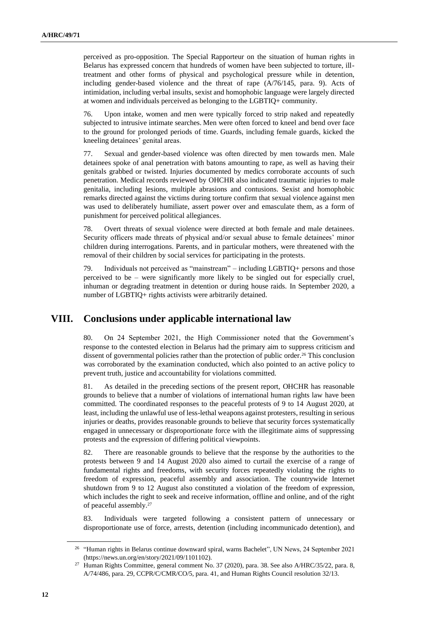perceived as pro-opposition. The Special Rapporteur on the situation of human rights in Belarus has expressed concern that hundreds of women have been subjected to torture, illtreatment and other forms of physical and psychological pressure while in detention, including gender-based violence and the threat of rape (A/76/145, para. 9). Acts of intimidation, including verbal insults, sexist and homophobic language were largely directed at women and individuals perceived as belonging to the LGBTIQ+ community.

76. Upon intake, women and men were typically forced to strip naked and repeatedly subjected to intrusive intimate searches. Men were often forced to kneel and bend over face to the ground for prolonged periods of time. Guards, including female guards, kicked the kneeling detainees' genital areas.

77. Sexual and gender-based violence was often directed by men towards men. Male detainees spoke of anal penetration with batons amounting to rape, as well as having their genitals grabbed or twisted. Injuries documented by medics corroborate accounts of such penetration. Medical records reviewed by OHCHR also indicated traumatic injuries to male genitalia, including lesions, multiple abrasions and contusions. Sexist and homophobic remarks directed against the victims during torture confirm that sexual violence against men was used to deliberately humiliate, assert power over and emasculate them, as a form of punishment for perceived political allegiances.

78. Overt threats of sexual violence were directed at both female and male detainees. Security officers made threats of physical and/or sexual abuse to female detainees' minor children during interrogations. Parents, and in particular mothers, were threatened with the removal of their children by social services for participating in the protests.

79. Individuals not perceived as "mainstream" – including LGBTIQ+ persons and those perceived to be – were significantly more likely to be singled out for especially cruel, inhuman or degrading treatment in detention or during house raids. In September 2020, a number of LGBTIQ+ rights activists were arbitrarily detained.

### **VIII. Conclusions under applicable international law**

80. On 24 September 2021, the High Commissioner noted that the Government's response to the contested election in Belarus had the primary aim to suppress criticism and dissent of governmental policies rather than the protection of public order.<sup>26</sup> This conclusion was corroborated by the examination conducted, which also pointed to an active policy to prevent truth, justice and accountability for violations committed.

81. As detailed in the preceding sections of the present report, OHCHR has reasonable grounds to believe that a number of violations of international human rights law have been committed. The coordinated responses to the peaceful protests of 9 to 14 August 2020, at least, including the unlawful use of less-lethal weapons against protesters, resulting in serious injuries or deaths, provides reasonable grounds to believe that security forces systematically engaged in unnecessary or disproportionate force with the illegitimate aims of suppressing protests and the expression of differing political viewpoints.

82. There are reasonable grounds to believe that the response by the authorities to the protests between 9 and 14 August 2020 also aimed to curtail the exercise of a range of fundamental rights and freedoms, with security forces repeatedly violating the rights to freedom of expression, peaceful assembly and association. The countrywide Internet shutdown from 9 to 12 August also constituted a violation of the freedom of expression, which includes the right to seek and receive information, offline and online, and of the right of peaceful assembly.<sup>27</sup>

83. Individuals were targeted following a consistent pattern of unnecessary or disproportionate use of force, arrests, detention (including incommunicado detention), and

<sup>&</sup>lt;sup>26</sup> "Human rights in Belarus continue downward spiral, warns Bachelet", UN News, 24 September 2021 (https://news.un.org/en/story/2021/09/1101102).

<sup>27</sup> Human Rights Committee, general comment No. 37 (2020), para. 38. See also A/HRC/35/22, para. 8, A/74/486, para. 29, CCPR/C/CMR/CO/5, para. 41, and Human Rights Council resolution 32/13.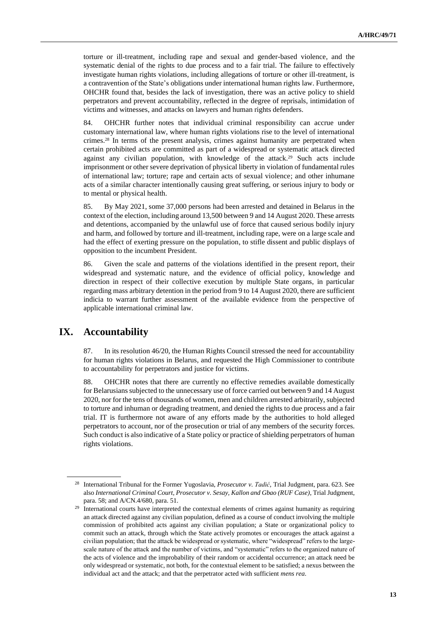torture or ill-treatment, including rape and sexual and gender-based violence, and the systematic denial of the rights to due process and to a fair trial. The failure to effectively investigate human rights violations, including allegations of torture or other ill-treatment, is a contravention of the State's obligations under international human rights law. Furthermore, OHCHR found that, besides the lack of investigation, there was an active policy to shield perpetrators and prevent accountability, reflected in the degree of reprisals, intimidation of victims and witnesses, and attacks on lawyers and human rights defenders.

84. OHCHR further notes that individual criminal responsibility can accrue under customary international law, where human rights violations rise to the level of international crimes.<sup>28</sup> In terms of the present analysis, crimes against humanity are perpetrated when certain prohibited acts are committed as part of a widespread or systematic attack directed against any civilian population, with knowledge of the attack.<sup>29</sup> Such acts include imprisonment or other severe deprivation of physical liberty in violation of fundamental rules of international law; torture; rape and certain acts of sexual violence; and other inhumane acts of a similar character intentionally causing great suffering, or serious injury to body or to mental or physical health.

85. By May 2021, some 37,000 persons had been arrested and detained in Belarus in the context of the election, including around 13,500 between 9 and 14 August 2020. These arrests and detentions, accompanied by the unlawful use of force that caused serious bodily injury and harm, and followed by torture and ill-treatment, including rape, were on a large scale and had the effect of exerting pressure on the population, to stifle dissent and public displays of opposition to the incumbent President.

86. Given the scale and patterns of the violations identified in the present report, their widespread and systematic nature, and the evidence of official policy, knowledge and direction in respect of their collective execution by multiple State organs, in particular regarding mass arbitrary detention in the period from 9 to 14 August 2020, there are sufficient indicia to warrant further assessment of the available evidence from the perspective of applicable international criminal law.

### **IX. Accountability**

87. In its resolution 46/20, the Human Rights Council stressed the need for accountability for human rights violations in Belarus, and requested the High Commissioner to contribute to accountability for perpetrators and justice for victims.

88. OHCHR notes that there are currently no effective remedies available domestically for Belarusians subjected to the unnecessary use of force carried out between 9 and 14 August 2020, nor for the tens of thousands of women, men and children arrested arbitrarily, subjected to torture and inhuman or degrading treatment, and denied the rights to due process and a fair trial. IT is furthermore not aware of any efforts made by the authorities to hold alleged perpetrators to account, nor of the prosecution or trial of any members of the security forces. Such conduct is also indicative of a State policy or practice of shielding perpetrators of human rights violations.

<sup>28</sup> International Tribunal for the Former Yugoslavia, *Prosecutor v. Tadić*, Trial Judgment, para. 623. See also *International Criminal Court, Prosecutor v. Sesay, Kallon and Gbao (RUF Case)*, Trial Judgment, para. 58; and A/CN.4/680, para. 51.

<sup>&</sup>lt;sup>29</sup> International courts have interpreted the contextual elements of crimes against humanity as requiring an attack directed against any civilian population, defined as a course of conduct involving the multiple commission of prohibited acts against any civilian population; a State or organizational policy to commit such an attack, through which the State actively promotes or encourages the attack against a civilian population; that the attack be widespread or systematic, where "widespread" refers to the largescale nature of the attack and the number of victims, and "systematic" refers to the organized nature of the acts of violence and the improbability of their random or accidental occurrence; an attack need be only widespread or systematic, not both, for the contextual element to be satisfied; a nexus between the individual act and the attack; and that the perpetrator acted with sufficient *mens rea*.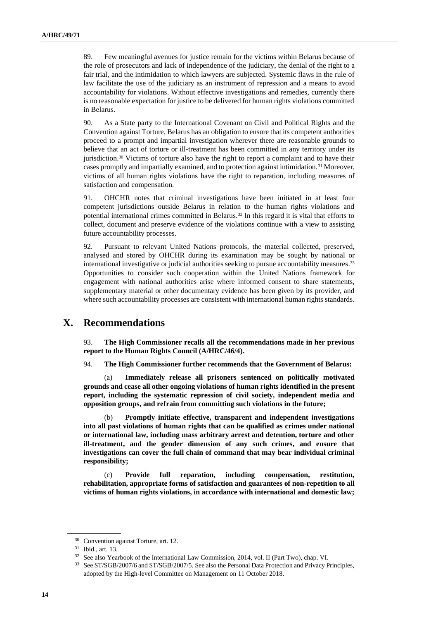89. Few meaningful avenues for justice remain for the victims within Belarus because of the role of prosecutors and lack of independence of the judiciary, the denial of the right to a fair trial, and the intimidation to which lawyers are subjected. Systemic flaws in the rule of law facilitate the use of the judiciary as an instrument of repression and a means to avoid accountability for violations. Without effective investigations and remedies, currently there is no reasonable expectation for justice to be delivered for human rights violations committed in Belarus.

90. As a State party to the International Covenant on Civil and Political Rights and the Convention against Torture, Belarus has an obligation to ensure that its competent authorities proceed to a prompt and impartial investigation wherever there are reasonable grounds to believe that an act of torture or ill-treatment has been committed in any territory under its jurisdiction.<sup>30</sup> Victims of torture also have the right to report a complaint and to have their cases promptly and impartially examined, and to protection against intimidation.<sup>31</sup> Moreover, victims of all human rights violations have the right to reparation, including measures of satisfaction and compensation.

91. OHCHR notes that criminal investigations have been initiated in at least four competent jurisdictions outside Belarus in relation to the human rights violations and potential international crimes committed in Belarus.<sup>32</sup> In this regard it is vital that efforts to collect, document and preserve evidence of the violations continue with a view to assisting future accountability processes.

92. Pursuant to relevant United Nations protocols, the material collected, preserved, analysed and stored by OHCHR during its examination may be sought by national or international investigative or judicial authorities seeking to pursue accountability measures.<sup>33</sup> Opportunities to consider such cooperation within the United Nations framework for engagement with national authorities arise where informed consent to share statements, supplementary material or other documentary evidence has been given by its provider, and where such accountability processes are consistent with international human rights standards.

### **X. Recommendations**

93. **The High Commissioner recalls all the recommendations made in her previous report to the Human Rights Council (A/HRC/46/4).**

94. **The High Commissioner further recommends that the Government of Belarus:**

Immediately release all prisoners sentenced on politically motivated **grounds and cease all other ongoing violations of human rights identified in the present report, including the systematic repression of civil society, independent media and opposition groups, and refrain from committing such violations in the future;**

(b) **Promptly initiate effective, transparent and independent investigations into all past violations of human rights that can be qualified as crimes under national or international law, including mass arbitrary arrest and detention, torture and other ill-treatment, and the gender dimension of any such crimes, and ensure that investigations can cover the full chain of command that may bear individual criminal responsibility;**

(c) **Provide full reparation, including compensation, restitution, rehabilitation, appropriate forms of satisfaction and guarantees of non-repetition to all victims of human rights violations, in accordance with international and domestic law;**

<sup>30</sup> Convention against Torture, art. 12.

<sup>31</sup> Ibid., art. 13.

<sup>&</sup>lt;sup>32</sup> See also Yearbook of the International Law Commission, 2014, vol. II (Part Two), chap. VI.

<sup>33</sup> See ST/SGB/2007/6 and ST/SGB/2007/5. See also the Personal Data Protection and Privacy Principles, adopted by the High-level Committee on Management on 11 October 2018.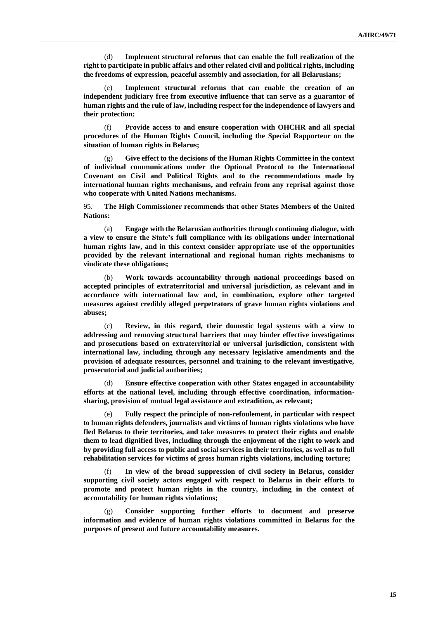(d) **Implement structural reforms that can enable the full realization of the right to participate in public affairs and other related civil and political rights, including the freedoms of expression, peaceful assembly and association, for all Belarusians;**

(e) **Implement structural reforms that can enable the creation of an independent judiciary free from executive influence that can serve as a guarantor of human rights and the rule of law, including respect for the independence of lawyers and their protection;**

(f) **Provide access to and ensure cooperation with OHCHR and all special procedures of the Human Rights Council, including the Special Rapporteur on the situation of human rights in Belarus;**

Give effect to the decisions of the Human Rights Committee in the context **of individual communications under the Optional Protocol to the International Covenant on Civil and Political Rights and to the recommendations made by international human rights mechanisms, and refrain from any reprisal against those who cooperate with United Nations mechanisms.**

95. **The High Commissioner recommends that other States Members of the United Nations:**

(a) **Engage with the Belarusian authorities through continuing dialogue, with a view to ensure the State's full compliance with its obligations under international human rights law, and in this context consider appropriate use of the opportunities provided by the relevant international and regional human rights mechanisms to vindicate these obligations;**

(b) **Work towards accountability through national proceedings based on accepted principles of extraterritorial and universal jurisdiction, as relevant and in accordance with international law and, in combination, explore other targeted measures against credibly alleged perpetrators of grave human rights violations and abuses;**

(c) **Review, in this regard, their domestic legal systems with a view to addressing and removing structural barriers that may hinder effective investigations and prosecutions based on extraterritorial or universal jurisdiction, consistent with international law, including through any necessary legislative amendments and the provision of adequate resources, personnel and training to the relevant investigative, prosecutorial and judicial authorities;**

(d) **Ensure effective cooperation with other States engaged in accountability efforts at the national level, including through effective coordination, informationsharing, provision of mutual legal assistance and extradition, as relevant;**

(e) **Fully respect the principle of non-refoulement, in particular with respect to human rights defenders, journalists and victims of human rights violations who have fled Belarus to their territories, and take measures to protect their rights and enable them to lead dignified lives, including through the enjoyment of the right to work and by providing full access to public and social services in their territories, as well as to full rehabilitation services for victims of gross human rights violations, including torture;**

(f) **In view of the broad suppression of civil society in Belarus, consider supporting civil society actors engaged with respect to Belarus in their efforts to promote and protect human rights in the country, including in the context of accountability for human rights violations;**

(g) **Consider supporting further efforts to document and preserve information and evidence of human rights violations committed in Belarus for the purposes of present and future accountability measures.**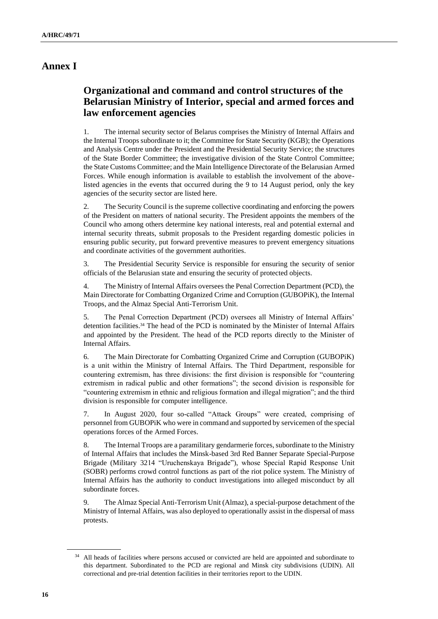### **Annex I**

# **Organizational and command and control structures of the Belarusian Ministry of Interior, special and armed forces and law enforcement agencies**

1. The internal security sector of Belarus comprises the Ministry of Internal Affairs and the Internal Troops subordinate to it; the Committee for State Security (KGB); the Operations and Analysis Centre under the President and the Presidential Security Service; the structures of the State Border Committee; the investigative division of the State Control Committee; the State Customs Committee; and the Main Intelligence Directorate of the Belarusian Armed Forces. While enough information is available to establish the involvement of the abovelisted agencies in the events that occurred during the 9 to 14 August period, only the key agencies of the security sector are listed here.

2. The Security Council is the supreme collective coordinating and enforcing the powers of the President on matters of national security. The President appoints the members of the Council who among others determine key national interests, real and potential external and internal security threats, submit proposals to the President regarding domestic policies in ensuring public security, put forward preventive measures to prevent emergency situations and coordinate activities of the government authorities.

3. The Presidential Security Service is responsible for ensuring the security of senior officials of the Belarusian state and ensuring the security of protected objects.

4. The Ministry of Internal Affairs oversees the Penal Correction Department (PCD), the Main Directorate for Combatting Organized Crime and Corruption (GUBOPiK), the Internal Troops, and the Almaz Special Anti-Terrorism Unit.

5. The Penal Correction Department (PCD) oversees all Ministry of Internal Affairs' detention facilities.<sup>34</sup> The head of the PCD is nominated by the Minister of Internal Affairs and appointed by the President. The head of the PCD reports directly to the Minister of Internal Affairs.

6. The Main Directorate for Combatting Organized Crime and Corruption (GUBOPiK) is a unit within the Ministry of Internal Affairs. The Third Department, responsible for countering extremism, has three divisions: the first division is responsible for "countering extremism in radical public and other formations"; the second division is responsible for "countering extremism in ethnic and religious formation and illegal migration"; and the third division is responsible for computer intelligence.

7. In August 2020, four so-called "Attack Groups" were created, comprising of personnel from GUBOPiK who were in command and supported by servicemen of the special operations forces of the Armed Forces.

8. The Internal Troops are a paramilitary gendarmerie forces, subordinate to the Ministry of Internal Affairs that includes the Minsk-based 3rd Red Banner Separate Special-Purpose Brigade (Military 3214 "Uruchenskaya Brigade"), whose Special Rapid Response Unit (SOBR) performs crowd control functions as part of the riot police system. The Ministry of Internal Affairs has the authority to conduct investigations into alleged misconduct by all subordinate forces.

9. The Almaz Special Anti-Terrorism Unit (Almaz), a special-purpose detachment of the Ministry of Internal Affairs, was also deployed to operationally assist in the dispersal of mass protests.

<sup>&</sup>lt;sup>34</sup> All heads of facilities where persons accused or convicted are held are appointed and subordinate to this department. Subordinated to the PCD are regional and Minsk city subdivisions (UDIN). All correctional and pre-trial detention facilities in their territories report to the UDIN.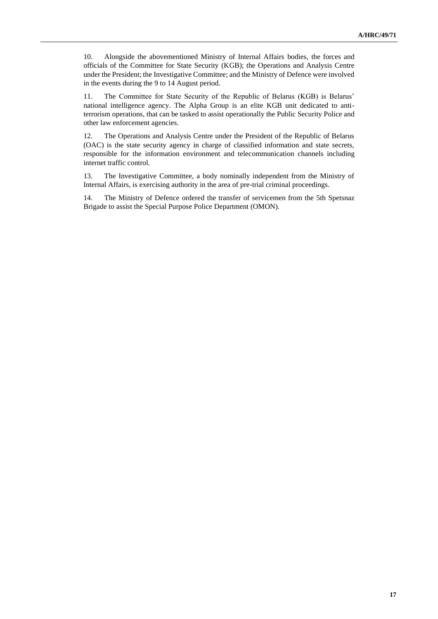10. Alongside the abovementioned Ministry of Internal Affairs bodies, the forces and officials of the Committee for State Security (KGB); the Operations and Analysis Centre under the President; the Investigative Committee; and the Ministry of Defence were involved in the events during the 9 to 14 August period.

11. The Committee for State Security of the Republic of Belarus (KGB) is Belarus' national intelligence agency. The Alpha Group is an elite KGB unit dedicated to antiterrorism operations, that can be tasked to assist operationally the Public Security Police and other law enforcement agencies.

12. The Operations and Analysis Centre under the President of the Republic of Belarus (OAC) is the state security agency in charge of classified information and state secrets, responsible for the information environment and telecommunication channels including internet traffic control.

13. The Investigative Committee, a body nominally independent from the Ministry of Internal Affairs, is exercising authority in the area of pre-trial criminal proceedings.

14. The Ministry of Defence ordered the transfer of servicemen from the 5th Spetsnaz Brigade to assist the Special Purpose Police Department (OMON).